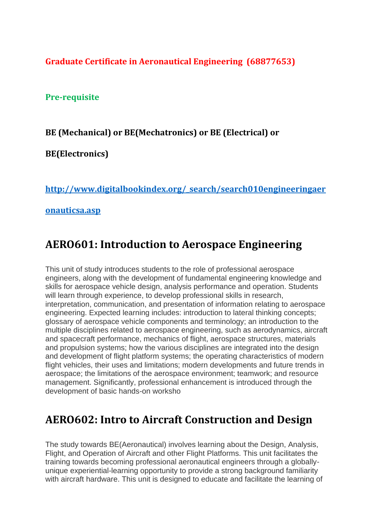**Graduate Certificate in Aeronautical Engineering (68877653)**

**Pre-requisite**

#### **BE (Mechanical) or BE(Mechatronics) or BE (Electrical) or**

**BE(Electronics)**

**[http://www.digitalbookindex.org/\\_search/search010engineeringaer](http://www.digitalbookindex.org/_search/search010engineeringaeronauticsa.asp)**

#### **[onauticsa.asp](http://www.digitalbookindex.org/_search/search010engineeringaeronauticsa.asp)**

## **AERO601: Introduction to Aerospace Engineering**

This unit of study introduces students to the role of professional aerospace engineers, along with the development of fundamental engineering knowledge and skills for aerospace vehicle design, analysis performance and operation. Students will learn through experience, to develop professional skills in research, interpretation, communication, and presentation of information relating to aerospace engineering. Expected learning includes: introduction to lateral thinking concepts; glossary of aerospace vehicle components and terminology; an introduction to the multiple disciplines related to aerospace engineering, such as aerodynamics, aircraft and spacecraft performance, mechanics of flight, aerospace structures, materials and propulsion systems; how the various disciplines are integrated into the design and development of flight platform systems; the operating characteristics of modern flight vehicles, their uses and limitations; modern developments and future trends in aerospace; the limitations of the aerospace environment; teamwork; and resource management. Significantly, professional enhancement is introduced through the development of basic hands-on worksho

# **AERO602: Intro to Aircraft Construction and Design**

The study towards BE(Aeronautical) involves learning about the Design, Analysis, Flight, and Operation of Aircraft and other Flight Platforms. This unit facilitates the training towards becoming professional aeronautical engineers through a globallyunique experiential-learning opportunity to provide a strong background familiarity with aircraft hardware. This unit is designed to educate and facilitate the learning of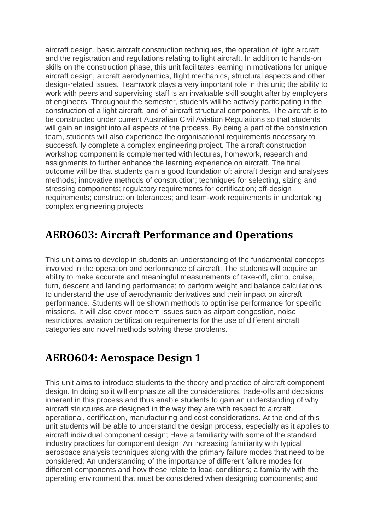aircraft design, basic aircraft construction techniques, the operation of light aircraft and the registration and regulations relating to light aircraft. In addition to hands-on skills on the construction phase, this unit facilitates learning in motivations for unique aircraft design, aircraft aerodynamics, flight mechanics, structural aspects and other design-related issues. Teamwork plays a very important role in this unit; the ability to work with peers and supervising staff is an invaluable skill sought after by employers of engineers. Throughout the semester, students will be actively participating in the construction of a light aircraft, and of aircraft structural components. The aircraft is to be constructed under current Australian Civil Aviation Regulations so that students will gain an insight into all aspects of the process. By being a part of the construction team, students will also experience the organisational requirements necessary to successfully complete a complex engineering project. The aircraft construction workshop component is complemented with lectures, homework, research and assignments to further enhance the learning experience on aircraft. The final outcome will be that students gain a good foundation of: aircraft design and analyses methods; innovative methods of construction; techniques for selecting, sizing and stressing components; regulatory requirements for certification; off-design requirements; construction tolerances; and team-work requirements in undertaking complex engineering projects

#### **AERO603: Aircraft Performance and Operations**

This unit aims to develop in students an understanding of the fundamental concepts involved in the operation and performance of aircraft. The students will acquire an ability to make accurate and meaningful measurements of take-off, climb, cruise, turn, descent and landing performance; to perform weight and balance calculations; to understand the use of aerodynamic derivatives and their impact on aircraft performance. Students will be shown methods to optimise performance for specific missions. It will also cover modern issues such as airport congestion, noise restrictions, aviation certification requirements for the use of different aircraft categories and novel methods solving these problems.

#### **AERO604: Aerospace Design 1**

This unit aims to introduce students to the theory and practice of aircraft component design. In doing so it will emphasize all the considerations, trade-offs and decisions inherent in this process and thus enable students to gain an understanding of why aircraft structures are designed in the way they are with respect to aircraft operational, certification, manufacturing and cost considerations. At the end of this unit students will be able to understand the design process, especially as it applies to aircraft individual component design; Have a familiarity with some of the standard industry practices for component design; An increasing familiarity with typical aerospace analysis techniques along with the primary failure modes that need to be considered; An understanding of the importance of different failure modes for different components and how these relate to load-conditions; a familarity with the operating environment that must be considered when designing components; and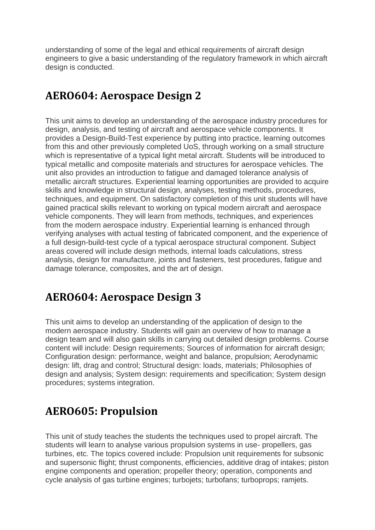understanding of some of the legal and ethical requirements of aircraft design engineers to give a basic understanding of the regulatory framework in which aircraft design is conducted.

### **AERO604: Aerospace Design 2**

This unit aims to develop an understanding of the aerospace industry procedures for design, analysis, and testing of aircraft and aerospace vehicle components. It provides a Design-Build-Test experience by putting into practice, learning outcomes from this and other previously completed UoS, through working on a small structure which is representative of a typical light metal aircraft. Students will be introduced to typical metallic and composite materials and structures for aerospace vehicles. The unit also provides an introduction to fatigue and damaged tolerance analysis of metallic aircraft structures. Experiential learning opportunities are provided to acquire skills and knowledge in structural design, analyses, testing methods, procedures, techniques, and equipment. On satisfactory completion of this unit students will have gained practical skills relevant to working on typical modern aircraft and aerospace vehicle components. They will learn from methods, techniques, and experiences from the modern aerospace industry. Experiential learning is enhanced through verifying analyses with actual testing of fabricated component, and the experience of a full design-build-test cycle of a typical aerospace structural component. Subject areas covered will include design methods, internal loads calculations, stress analysis, design for manufacture, joints and fasteners, test procedures, fatigue and damage tolerance, composites, and the art of design.

## **AERO604: Aerospace Design 3**

This unit aims to develop an understanding of the application of design to the modern aerospace industry. Students will gain an overview of how to manage a design team and will also gain skills in carrying out detailed design problems. Course content will include: Design requirements; Sources of information for aircraft design; Configuration design: performance, weight and balance, propulsion; Aerodynamic design: lift, drag and control; Structural design: loads, materials; Philosophies of design and analysis; System design: requirements and specification; System design procedures; systems integration.

# **AERO605: Propulsion**

This unit of study teaches the students the techniques used to propel aircraft. The students will learn to analyse various propulsion systems in use- propellers, gas turbines, etc. The topics covered include: Propulsion unit requirements for subsonic and supersonic flight; thrust components, efficiencies, additive drag of intakes; piston engine components and operation; propeller theory; operation, components and cycle analysis of gas turbine engines; turbojets; turbofans; turboprops; ramjets.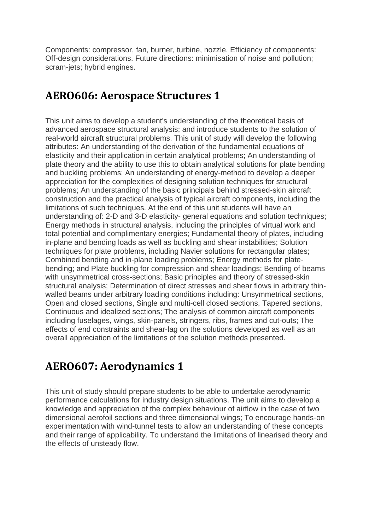Components: compressor, fan, burner, turbine, nozzle. Efficiency of components: Off-design considerations. Future directions: minimisation of noise and pollution; scram-jets; hybrid engines.

#### **AERO606: Aerospace Structures 1**

This unit aims to develop a student's understanding of the theoretical basis of advanced aerospace structural analysis; and introduce students to the solution of real-world aircraft structural problems. This unit of study will develop the following attributes: An understanding of the derivation of the fundamental equations of elasticity and their application in certain analytical problems; An understanding of plate theory and the ability to use this to obtain analytical solutions for plate bending and buckling problems; An understanding of energy-method to develop a deeper appreciation for the complexities of designing solution techniques for structural problems; An understanding of the basic principals behind stressed-skin aircraft construction and the practical analysis of typical aircraft components, including the limitations of such techniques. At the end of this unit students will have an understanding of: 2-D and 3-D elasticity- general equations and solution techniques; Energy methods in structural analysis, including the principles of virtual work and total potential and complimentary energies; Fundamental theory of plates, including in-plane and bending loads as well as buckling and shear instabilities; Solution techniques for plate problems, including Navier solutions for rectangular plates; Combined bending and in-plane loading problems; Energy methods for platebending; and Plate buckling for compression and shear loadings; Bending of beams with unsymmetrical cross-sections; Basic principles and theory of stressed-skin structural analysis; Determination of direct stresses and shear flows in arbitrary thinwalled beams under arbitrary loading conditions including: Unsymmetrical sections, Open and closed sections, Single and multi-cell closed sections, Tapered sections, Continuous and idealized sections; The analysis of common aircraft components including fuselages, wings, skin-panels, stringers, ribs, frames and cut-outs; The effects of end constraints and shear-lag on the solutions developed as well as an overall appreciation of the limitations of the solution methods presented.

# **AERO607: Aerodynamics 1**

This unit of study should prepare students to be able to undertake aerodynamic performance calculations for industry design situations. The unit aims to develop a knowledge and appreciation of the complex behaviour of airflow in the case of two dimensional aerofoil sections and three dimensional wings; To encourage hands-on experimentation with wind-tunnel tests to allow an understanding of these concepts and their range of applicability. To understand the limitations of linearised theory and the effects of unsteady flow.